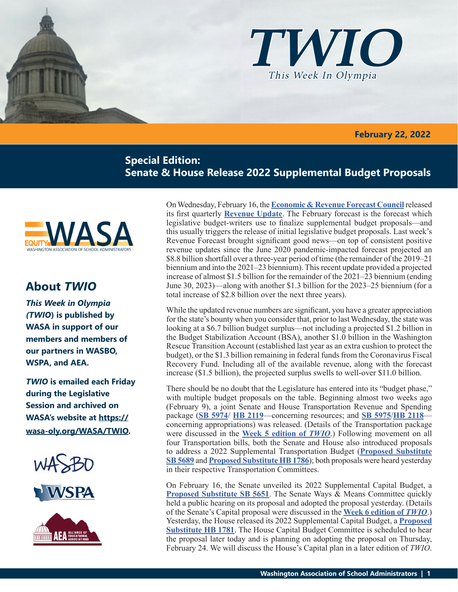

 **February 22, 2022**

# **Special Edition: Senate & House Release 2022 Supplemental Budget Proposals**



# **About** *TWIO*

*This Week in Olympia (TWIO***) is published by WASA in support of our members and members of our partners in WASBO, WSPA, and AEA.**

*TWIO* **is emailed each Friday during the Legislative Session and archived on WASA's website at https:// wasa-oly.org/WASA/TWIO.** 



**VSPA** 



On Wednesday, February 16, the **[Economic & Revenue Forecast Council](https://erfc.wa.gov/)** released its first quarterly **[Revenue Update](https://erfc.wa.gov/sites/default/files/public/documents/meetings/rev20220216.pdf)**. The February forecast is the forecast which legislative budget-writers use to finalize supplemental budget proposals—and this usually triggers the release of initial legislative budget proposals. Last week's Revenue Forecast brought significant good news—on top of consistent positive revenue updates since the June 2020 pandemic-impacted forecast projected an \$8.8 billion shortfall over a three-year period of time (the remainder of the 2019–21 biennium and into the 2021–23 biennium). This recent update provided a projected increase of almost \$1.5 billion for the remainder of the 2021–23 biennium (ending June 30, 2023)—along with another \$1.3 billion for the 2023–25 biennium (for a total increase of \$2.8 billion over the next three years).

While the updated revenue numbers are significant, you have a greater appreciation for the state's bounty when you consider that, prior to last Wednesday, the state was looking at a \$6.7 billion budget surplus—not including a projected \$1.2 billion in the Budget Stabilization Account (BSA), another \$1.0 billion in the Washington Rescue Transition Account (established last year as an extra cushion to protect the budget), or the \$1.3 billion remaining in federal funds from the Coronavirus Fiscal Recovery Fund. Including all of the available revenue, along with the forecast increase (\$1.5 billion), the projected surplus swells to well-over \$11.0 billion.

There should be no doubt that the Legislature has entered into its "budget phase," with multiple budget proposals on the table. Beginning almost two weeks ago (February 9), a joint Senate and House Transportation Revenue and Spending package (**[SB 5974](https://app.leg.wa.gov/billsummary?BillNumber=5974&Year=2021&Initiative=false)**/ **[HB 2119](https://app.leg.wa.gov/billsummary?BillNumber=2119&Initiative=false&Year=2021)**—concerning resources; and **[SB 5975](https://app.leg.wa.gov/billsummary?BillNumber=5975&Initiative=false&Year=2021)**/**[HB 2118](https://app.leg.wa.gov/billsummary?BillNumber=2118&Initiative=false&Year=2021)** concerning appropriations) was released. (Details of the Transportation package were discussed in the **[Week 5 edition of](https://wasa-oly.org/WASA/images/WASA/4.0 Government Relations/4.4.1 This Week In Olympia - TWIO/Download_Files/TWIO 2022/Week 5 TWIO.pdf)** *TWIO*.) Following movement on all four Transportation bills, both the Senate and House also introduced proposals to address a 2022 Supplemental Transportation Budget (**[Proposed Substitute](https://app.leg.wa.gov/committeeschedules/Home/Document/243681#toolbar=0&navpanes=0)  [SB 5689](https://app.leg.wa.gov/committeeschedules/Home/Document/243681#toolbar=0&navpanes=0)** and **[Proposed Substitute HB 1786](https://app.leg.wa.gov/committeeschedules/Home/Document/243695#toolbar=0&navpanes=0)**); both proposals were heard yesterday in their respective Transportation Committees.

On February 16, the Senate unveiled its 2022 Supplemental Capital Budget, a **[Proposed Substitute SB 5651](https://app.leg.wa.gov/committeeschedules/Home/Document/243211#toolbar=0&navpanes=0)**. The Senate Ways & Means Committee quickly held a public hearing on its proposal and adopted the proposal yesterday. (Details of the Senate's Capital proposal were discussed in the **[Week 6 edition of](https://wasa-oly.org/WASA/images/WASA/4.0 Government Relations/4.4.1 This Week In Olympia - TWIO/Download_Files/TWIO 2022/Week 6.pdf)** *TWIO*.) Yesterday, the House released its 2022 Supplemental Capital Budget, a **[Proposed](https://app.leg.wa.gov/committeeschedules/Home/Document/243665#toolbar=0&navpanes=0)  [Substitute HB 1781](https://app.leg.wa.gov/committeeschedules/Home/Document/243665#toolbar=0&navpanes=0)**. The House Capital Budget Committee is scheduled to hear the proposal later today and is planning on adopting the proposal on Thursday, February 24. We will discuss the House's Capital plan in a later edition of *TWIO*.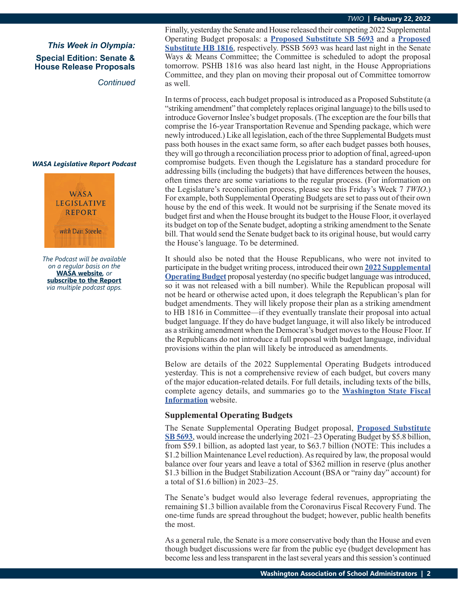### *TWIO* **| February 22, 2022**

*This Week in Olympia:* **Special Edition: Senate & House Release Proposals**

*Continued*

### *WASA Legislative Report Podcast*



*The Podcast will be available on a regular basis on the*  **WASA website***, or* **subscribe to the Report** *via multiple podcast apps.*

Finally, yesterday the Senate and House released their competing 2022 Supplemental Operating Budget proposals: a **[Proposed Substitute SB 5693](http://leap.leg.wa.gov/leap/budget/detail/2022/so2022Supp.asp)** and a **[Proposed](http://leap.leg.wa.gov/leap/budget/detail/2022/ho2022Supp.asp)  [Substitute HB 1816](http://leap.leg.wa.gov/leap/budget/detail/2022/ho2022Supp.asp)**, respectively. PSSB 5693 was heard last night in the Senate Ways & Means Committee; the Committee is scheduled to adopt the proposal tomorrow. PSHB 1816 was also heard last night, in the House Appropriations Committee, and they plan on moving their proposal out of Committee tomorrow as well.

In terms of process, each budget proposal is introduced as a Proposed Substitute (a "striking amendment" that completely replaces original language) to the bills used to introduce Governor Inslee's budget proposals. (The exception are the four bills that comprise the 16-year Transportation Revenue and Spending package, which were newly introduced.) Like all legislation, each of the three Supplemental Budgets must pass both houses in the exact same form, so after each budget passes both houses, they will go through a reconciliation process prior to adoption of final, agreed-upon compromise budgets. Even though the Legislature has a standard procedure for addressing bills (including the budgets) that have differences between the houses, often times there are some variations to the regular process. (For information on the Legislature's reconciliation process, please see this Friday's Week 7 *TWIO*.) For example, both Supplemental Operating Budgets are set to pass out of their own house by the end of this week. It would not be surprising if the Senate moved its budget first and when the House brought its budget to the House Floor, it overlayed its budget on top of the Senate budget, adopting a striking amendment to the Senate bill. That would send the Senate budget back to its original house, but would carry the House's language. To be determined.

It should also be noted that the House Republicans, who were not invited to participate in the budget writing process, introduced their own **[2022 Supplemental](http://leap.leg.wa.gov/leap/budget/detail/2022/ho2022Supp.asp)  [Operating Budget](http://leap.leg.wa.gov/leap/budget/detail/2022/ho2022Supp.asp)** proposal yesterday (no specific budget language was introduced, so it was not released with a bill number). While the Republican proposal will not be heard or otherwise acted upon, it does telegraph the Republican's plan for budget amendments. They will likely propose their plan as a striking amendment to HB 1816 in Committee—if they eventually translate their proposal into actual budget language. If they do have budget language, it will also likely be introduced as a striking amendment when the Democrat's budget moves to the House Floor. If the Republicans do not introduce a full proposal with budget language, individual provisions within the plan will likely be introduced as amendments.

Below are details of the 2022 Supplemental Operating Budgets introduced yesterday. This is not a comprehensive review of each budget, but covers many of the major education-related details. For full details, including texts of the bills, complete agency details, and summaries go to the **[Washington State Fiscal](http://fiscal.wa.gov/default.aspx)  [Information](http://fiscal.wa.gov/default.aspx)** website.

# **Supplemental Operating Budgets**

The Senate Supplemental Operating Budget proposal, **[Proposed Substitute](http://leap.leg.wa.gov/leap/budget/detail/2022/so2022Supp.asp)  [SB 5693](http://leap.leg.wa.gov/leap/budget/detail/2022/so2022Supp.asp)**, would increase the underlying 2021–23 Operating Budget by \$5.8 billion, from \$59.1 billion, as adopted last year, to \$63.7 billion (NOTE: This includes a \$1.2 billion Maintenance Level reduction). As required by law, the proposal would balance over four years and leave a total of \$362 million in reserve (plus another \$1.3 billion in the Budget Stabilization Account (BSA or "rainy day" account) for a total of \$1.6 billion) in 2023–25.

The Senate's budget would also leverage federal revenues, appropriating the remaining \$1.3 billion available from the Coronavirus Fiscal Recovery Fund. The one-time funds are spread throughout the budget; however, public health benefits the most.

As a general rule, the Senate is a more conservative body than the House and even though budget discussions were far from the public eye (budget development has become less and less transparent in the last several years and this session's continued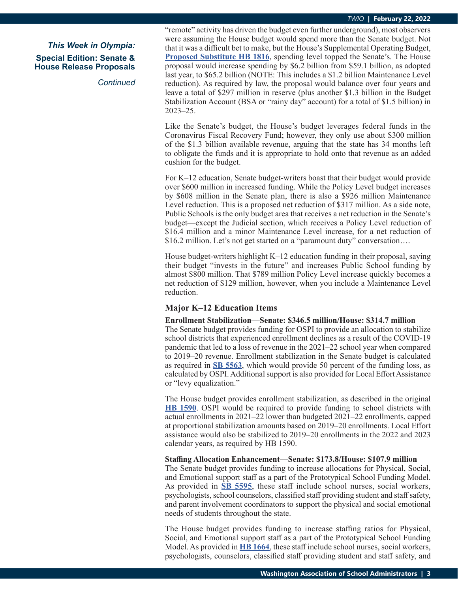*Continued*

"remote" activity has driven the budget even further underground), most observers were assuming the House budget would spend more than the Senate budget. Not that it was a difficult bet to make, but the House's Supplemental Operating Budget, **[Proposed Substitute HB 1816](http://leap.leg.wa.gov/leap/budget/detail/2022/ho2022Supp.asp)**, spending level topped the Senate's. The House proposal would increase spending by \$6.2 billion from \$59.1 billion, as adopted last year, to \$65.2 billion (NOTE: This includes a \$1.2 billion Maintenance Level reduction). As required by law, the proposal would balance over four years and leave a total of \$297 million in reserve (plus another \$1.3 billion in the Budget Stabilization Account (BSA or "rainy day" account) for a total of \$1.5 billion) in 2023–25.

Like the Senate's budget, the House's budget leverages federal funds in the Coronavirus Fiscal Recovery Fund; however, they only use about \$300 million of the \$1.3 billion available revenue, arguing that the state has 34 months left to obligate the funds and it is appropriate to hold onto that revenue as an added cushion for the budget.

For K–12 education, Senate budget-writers boast that their budget would provide over \$600 million in increased funding. While the Policy Level budget increases by \$608 million in the Senate plan, there is also a \$926 million Maintenance Level reduction. This is a proposed net reduction of \$317 million. As a side note, Public Schools is the only budget area that receives a net reduction in the Senate's budget—except the Judicial section, which receives a Policy Level reduction of \$16.4 million and a minor Maintenance Level increase, for a net reduction of \$16.2 million. Let's not get started on a "paramount duty" conversation….

House budget-writers highlight K–12 education funding in their proposal, saying their budget "invests in the future" and increases Public School funding by almost \$800 million. That \$789 million Policy Level increase quickly becomes a net reduction of \$129 million, however, when you include a Maintenance Level reduction.

# **Major K–12 Education Items**

### **Enrollment Stabilization—Senate: \$346.5 million/House: \$314.7 million**

The Senate budget provides funding for OSPI to provide an allocation to stabilize school districts that experienced enrollment declines as a result of the COVID-19 pandemic that led to a loss of revenue in the 2021–22 school year when compared to 2019–20 revenue. Enrollment stabilization in the Senate budget is calculated as required in **[SB 5563](https://app.leg.wa.gov/billsummary?BillNumber=5563&Initiative=false&Year=2021)**, which would provide 50 percent of the funding loss, as calculated by OSPI. Additional support is also provided for Local Effort Assistance or "levy equalization."

The House budget provides enrollment stabilization, as described in the original **[HB 1590](https://app.leg.wa.gov/billsummary?BillNumber=1590&Initiative=false&Year=2021)**. OSPI would be required to provide funding to school districts with actual enrollments in 2021–22 lower than budgeted 2021–22 enrollments, capped at proportional stabilization amounts based on 2019–20 enrollments. Local Effort assistance would also be stabilized to 2019–20 enrollments in the 2022 and 2023 calendar years, as required by HB 1590.

### **Staffing Allocation Enhancement—Senate: \$173.8/House: \$107.9 million**

The Senate budget provides funding to increase allocations for Physical, Social, and Emotional support staff as a part of the Prototypical School Funding Model. As provided in **[SB 5595](https://app.leg.wa.gov/billsummary?BillNumber=5595&Initiative=false&Year=2021)**, these staff include school nurses, social workers, psychologists, school counselors, classified staff providing student and staff safety, and parent involvement coordinators to support the physical and social emotional needs of students throughout the state.

The House budget provides funding to increase staffing ratios for Physical, Social, and Emotional support staff as a part of the Prototypical School Funding Model. As provided in **[HB 1664](https://app.leg.wa.gov/billsummary?BillNumber=1664&Initiative=false&Year=2021)**, these staff include school nurses, social workers, psychologists, counselors, classified staff providing student and staff safety, and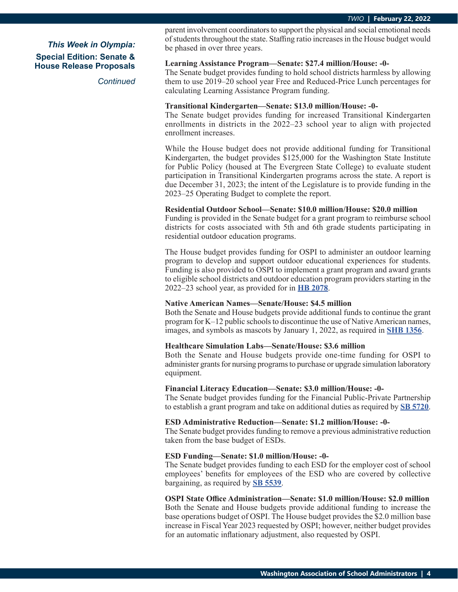*Continued*

parent involvement coordinators to support the physical and social emotional needs of students throughout the state. Staffing ratio increases in the House budget would be phased in over three years.

### **Learning Assistance Program—Senate: \$27.4 million/House: -0-**

The Senate budget provides funding to hold school districts harmless by allowing them to use 2019–20 school year Free and Reduced-Price Lunch percentages for calculating Learning Assistance Program funding.

### **Transitional Kindergarten—Senate: \$13.0 million/House: -0-**

The Senate budget provides funding for increased Transitional Kindergarten enrollments in districts in the 2022–23 school year to align with projected enrollment increases.

While the House budget does not provide additional funding for Transitional Kindergarten, the budget provides \$125,000 for the Washington State Institute for Public Policy (housed at The Evergreen State College) to evaluate student participation in Transitional Kindergarten programs across the state. A report is due December 31, 2023; the intent of the Legislature is to provide funding in the 2023–25 Operating Budget to complete the report.

### **Residential Outdoor School—Senate: \$10.0 million/House: \$20.0 million**

Funding is provided in the Senate budget for a grant program to reimburse school districts for costs associated with 5th and 6th grade students participating in residential outdoor education programs.

The House budget provides funding for OSPI to administer an outdoor learning program to develop and support outdoor educational experiences for students. Funding is also provided to OSPI to implement a grant program and award grants to eligible school districts and outdoor education program providers starting in the 2022–23 school year, as provided for in **[HB 2078](https://app.leg.wa.gov/billsummary?BillNumber=2078&Initiative=false&Year=2021)**.

### **Native American Names—Senate/House: \$4.5 million**

Both the Senate and House budgets provide additional funds to continue the grant program for K–12 public schools to discontinue the use of Native American names, images, and symbols as mascots by January 1, 2022, as required in **[SHB 1356](https://app.leg.wa.gov/billsummary?BillNumber=1356&Initiative=false&Year=2021)**.

## **Healthcare Simulation Labs—Senate/House: \$3.6 million**

Both the Senate and House budgets provide one-time funding for OSPI to administer grants for nursing programs to purchase or upgrade simulation laboratory equipment.

#### **Financial Literacy Education—Senate: \$3.0 million/House: -0-**

The Senate budget provides funding for the Financial Public-Private Partnership to establish a grant program and take on additional duties as required by **[SB 5720](https://app.leg.wa.gov/billsummary?BillNumber=5720&Initiative=false&Year=2021)**.

#### **ESD Administrative Reduction—Senate: \$1.2 million/House: -0-**

The Senate budget provides funding to remove a previous administrative reduction taken from the base budget of ESDs.

### **ESD Funding—Senate: \$1.0 million/House: -0-**

The Senate budget provides funding to each ESD for the employer cost of school employees' benefits for employees of the ESD who are covered by collective bargaining, as required by **[SB 5539](https://app.leg.wa.gov/billsummary?BillNumber=5539&Initiative=false&Year=2021)**.

### **OSPI State Office Administration—Senate: \$1.0 million/House: \$2.0 million**

Both the Senate and House budgets provide additional funding to increase the base operations budget of OSPI. The House budget provides the \$2.0 million base increase in Fiscal Year 2023 requested by OSPI; however, neither budget provides for an automatic inflationary adjustment, also requested by OSPI.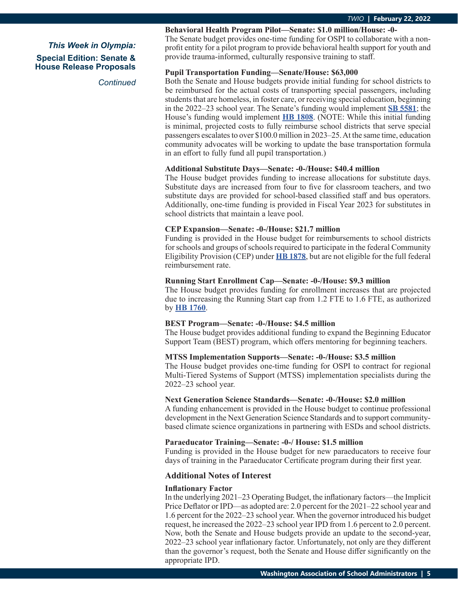*Continued*

### **Behavioral Health Program Pilot—Senate: \$1.0 million/House: -0-**

The Senate budget provides one-time funding for OSPI to collaborate with a nonprofit entity for a pilot program to provide behavioral health support for youth and provide trauma-informed, culturally responsive training to staff.

### **Pupil Transportation Funding—Senate/House: \$63,000**

Both the Senate and House budgets provide initial funding for school districts to be reimbursed for the actual costs of transporting special passengers, including students that are homeless, in foster care, or receiving special education, beginning in the 2022–23 school year. The Senate's funding would implement **[SB 5581](https://app.leg.wa.gov/billsummary?BillNumber=5581&Initiative=false&Year=2021)**; the House's funding would implement **[HB 1808](https://app.leg.wa.gov/billsummary?BillNumber=1808&Initiative=false&Year=2021)**. (NOTE: While this initial funding is minimal, projected costs to fully reimburse school districts that serve special passengers escalates to over \$100.0 million in 2023–25. At the same time, education community advocates will be working to update the base transportation formula in an effort to fully fund all pupil transportation.)

### **Additional Substitute Days—Senate: -0-/House: \$40.4 million**

The House budget provides funding to increase allocations for substitute days. Substitute days are increased from four to five for classroom teachers, and two substitute days are provided for school-based classified staff and bus operators. Additionally, one-time funding is provided in Fiscal Year 2023 for substitutes in school districts that maintain a leave pool.

### **CEP Expansion—Senate: -0-/House: \$21.7 million**

Funding is provided in the House budget for reimbursements to school districts for schools and groups of schools required to participate in the federal Community Eligibility Provision (CEP) under **[HB 1878](https://app.leg.wa.gov/billsummary?BillNumber=1878&Initiative=false&Year=2021)**, but are not eligible for the full federal reimbursement rate.

### **Running Start Enrollment Cap—Senate: -0-/House: \$9.3 million**

The House budget provides funding for enrollment increases that are projected due to increasing the Running Start cap from 1.2 FTE to 1.6 FTE, as authorized by **[HB 1760](https://app.leg.wa.gov/billsummary?BillNumber=1760&Initiative=false&Year=2021)**.

## **BEST Program—Senate: -0-/House: \$4.5 million**

The House budget provides additional funding to expand the Beginning Educator Support Team (BEST) program, which offers mentoring for beginning teachers.

## **MTSS Implementation Supports—Senate: -0-/House: \$3.5 million**

The House budget provides one-time funding for OSPI to contract for regional Multi-Tiered Systems of Support (MTSS) implementation specialists during the 2022–23 school year.

# **Next Generation Science Standards—Senate: -0-/House: \$2.0 million**

A funding enhancement is provided in the House budget to continue professional development in the Next Generation Science Standards and to support communitybased climate science organizations in partnering with ESDs and school districts.

### **Paraeducator Training—Senate: -0-/ House: \$1.5 million**

Funding is provided in the House budget for new paraeducators to receive four days of training in the Paraeducator Certificate program during their first year.

## **Additional Notes of Interest**

### **Inflationary Factor**

In the underlying 2021–23 Operating Budget, the inflationary factors—the Implicit Price Deflator or IPD—as adopted are: 2.0 percent for the 2021–22 school year and 1.6 percent for the 2022–23 school year. When the governor introduced his budget request, he increased the 2022–23 school year IPD from 1.6 percent to 2.0 percent. Now, both the Senate and House budgets provide an update to the second-year, 2022–23 school year inflationary factor. Unfortunately, not only are they different than the governor's request, both the Senate and House differ significantly on the appropriate IPD.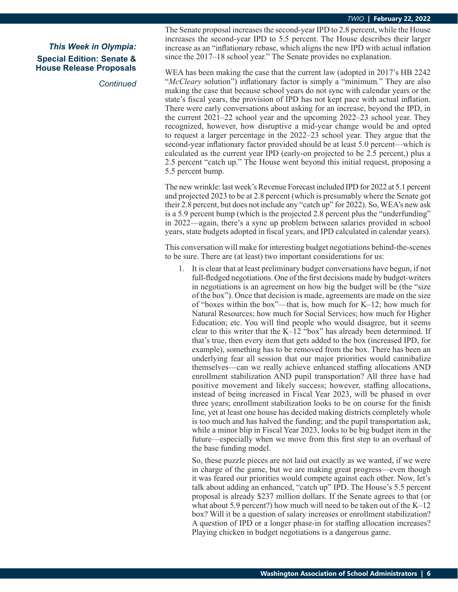*Continued*

The Senate proposal increases the second-year IPD to 2.8 percent, while the House increases the second-year IPD to 5.5 percent. The House describes their larger increase as an "inflationary rebase, which aligns the new IPD with actual inflation since the 2017–18 school year." The Senate provides no explanation.

WEA has been making the case that the current law (adopted in 2017's HB 2242 "*McCleary* solution") inflationary factor is simply a "minimum." They are also making the case that because school years do not sync with calendar years or the state's fiscal years, the provision of IPD has not kept pace with actual inflation. There were early conversations about asking for an increase, beyond the IPD, in the current 2021–22 school year and the upcoming 2022–23 school year. They recognized, however, how disruptive a mid-year change would be and opted to request a larger percentage in the 2022–23 school year. They argue that the second-year inflationary factor provided should be at least 5.0 percent—which is calculated as the current year IPD (early-on projected to be 2.5 percent,) plus a 2.5 percent "catch up." The House went beyond this initial request, proposing a 5.5 percent bump.

The new wrinkle: last week's Revenue Forecast included IPD for 2022 at 5.1 percent and projected 2023 to be at 2.8 percent (which is presumably where the Senate got their 2.8 percent, but does not include any "catch up" for 2022). So, WEA's new ask is a 5.9 percent bump (which is the projected 2.8 percent plus the "underfunding" in 2022—again, there's a sync up problem between salaries provided in school years, state budgets adopted in fiscal years, and IPD calculated in calendar years).

This conversation will make for interesting budget negotiations behind-the-scenes to be sure. There are (at least) two important considerations for us:

1. It is clear that at least preliminary budget conversations have begun, if not full-fledged negotiations. One of the first decisions made by budget-writers in negotiations is an agreement on how big the budget will be (the "size of the box"). Once that decision is made, agreements are made on the size of "boxes within the box"—that is, how much for K–12; how much for Natural Resources; how much for Social Services; how much for Higher Education; etc. You will find people who would disagree, but it seems clear to this writer that the K–12 "box" has already been determined. If that's true, then every item that gets added to the box (increased IPD, for example), something has to be removed from the box. There has been an underlying fear all session that our major priorities would cannibalize themselves—can we really achieve enhanced staffing allocations AND enrollment stabilization AND pupil transportation? All three have had positive movement and likely success; however, staffing allocations, instead of being increased in Fiscal Year 2023, will be phased in over three years; enrollment stabilization looks to be on course for the finish line, yet at least one house has decided making districts completely whole is too much and has halved the funding; and the pupil transportation ask, while a minor blip in Fiscal Year 2023, looks to be big budget item in the future—especially when we move from this first step to an overhaul of the base funding model.

So, these puzzle pieces are not laid out exactly as we wanted, if we were in charge of the game, but we are making great progress—even though it was feared our priorities would compete against each other. Now, let's talk about adding an enhanced, "catch up" IPD. The House's 5.5 percent proposal is already \$237 million dollars. If the Senate agrees to that (or what about 5.9 percent?) how much will need to be taken out of the K–12 box? Will it be a question of salary increases or enrollment stabilization? A question of IPD or a longer phase-in for staffing allocation increases? Playing chicken in budget negotiations is a dangerous game.